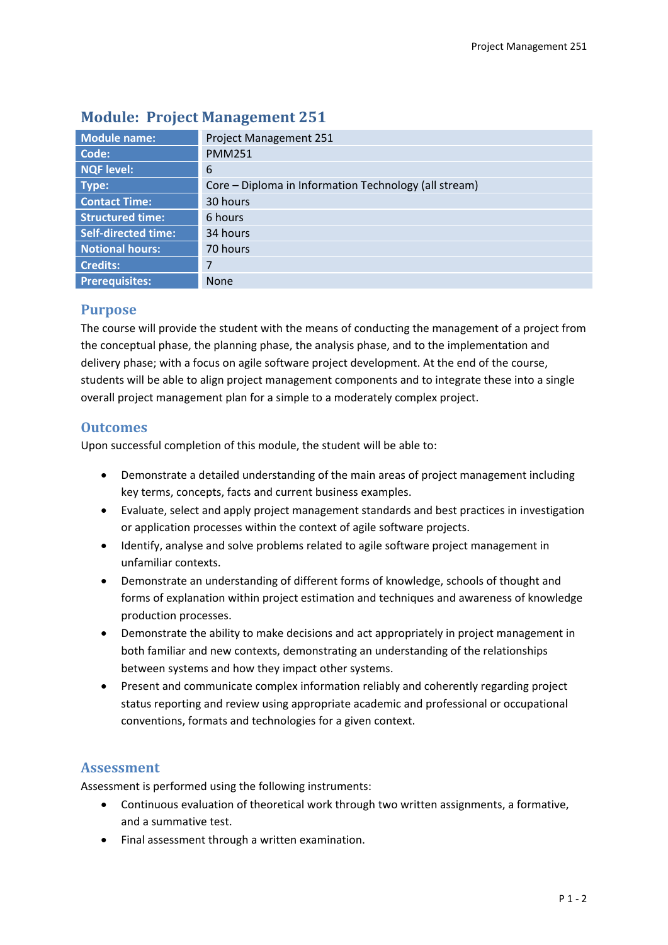| <b>Module name:</b>        | Project Management 251                                |
|----------------------------|-------------------------------------------------------|
| Code:                      | <b>PMM251</b>                                         |
| <b>NQF level:</b>          | 6                                                     |
| Type:                      | Core – Diploma in Information Technology (all stream) |
| <b>Contact Time:</b>       | 30 hours                                              |
| <b>Structured time:</b>    | 6 hours                                               |
| <b>Self-directed time:</b> | 34 hours                                              |
| <b>Notional hours:</b>     | 70 hours                                              |
| <b>Credits:</b>            | 7                                                     |
| <b>Prerequisites:</b>      | <b>None</b>                                           |

# **Module: Project Management 251**

## **Purpose**

The course will provide the student with the means of conducting the management of a project from the conceptual phase, the planning phase, the analysis phase, and to the implementation and delivery phase; with a focus on agile software project development. At the end of the course, students will be able to align project management components and to integrate these into a single overall project management plan for a simple to a moderately complex project.

## **Outcomes**

Upon successful completion of this module, the student will be able to:

- Demonstrate a detailed understanding of the main areas of project management including key terms, concepts, facts and current business examples.
- Evaluate, select and apply project management standards and best practices in investigation or application processes within the context of agile software projects.
- Identify, analyse and solve problems related to agile software project management in unfamiliar contexts.
- Demonstrate an understanding of different forms of knowledge, schools of thought and forms of explanation within project estimation and techniques and awareness of knowledge production processes.
- Demonstrate the ability to make decisions and act appropriately in project management in both familiar and new contexts, demonstrating an understanding of the relationships between systems and how they impact other systems.
- Present and communicate complex information reliably and coherently regarding project status reporting and review using appropriate academic and professional or occupational conventions, formats and technologies for a given context.

## **Assessment**

Assessment is performed using the following instruments:

- Continuous evaluation of theoretical work through two written assignments, a formative, and a summative test.
- Final assessment through a written examination.